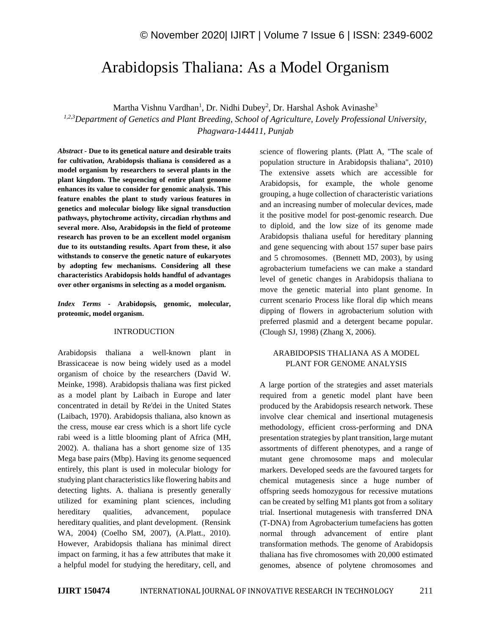# Arabidopsis Thaliana: As a Model Organism

Martha Vishnu Vardhan<sup>1</sup>, Dr. Nidhi Dubey<sup>2</sup>, Dr. Harshal Ashok Avinashe<sup>3</sup>

*1,2,3Department of Genetics and Plant Breeding, School of Agriculture, Lovely Professional University, Phagwara-144411, Punjab*

*Abstract -* **Due to its genetical nature and desirable traits for cultivation, Arabidopsis thaliana is considered as a model organism by researchers to several plants in the plant kingdom. The sequencing of entire plant genome enhances its value to consider for genomic analysis. This feature enables the plant to study various features in genetics and molecular biology like signal transduction pathways, phytochrome activity, circadian rhythms and several more. Also, Arabidopsis in the field of proteome research has proven to be an excellent model organism due to its outstanding results. Apart from these, it also withstands to conserve the genetic nature of eukaryotes by adopting few mechanisms. Considering all these characteristics Arabidopsis holds handful of advantages over other organisms in selecting as a model organism.**

*Index Terms -* **Arabidopsis, genomic, molecular, proteomic, model organism.**

#### INTRODUCTION

Arabidopsis thaliana a well-known plant in Brassicaceae is now being widely used as a model organism of choice by the researchers (David W. Meinke, 1998). Arabidopsis thaliana was first picked as a model plant by Laibach in Europe and later concentrated in detail by Re'dei in the United States (Laibach, 1970). Arabidopsis thaliana, also known as the cress, mouse ear cress which is a short life cycle rabi weed is a little blooming plant of Africa (MH, 2002). A. thaliana has a short genome size of 135 Mega base pairs (Mbp). Having its genome sequenced entirely, this plant is used in molecular biology for studying plant characteristics like flowering habits and detecting lights. A. thaliana is presently generally utilized for examining plant sciences, including hereditary qualities, advancement, populace hereditary qualities, and plant development. (Rensink WA, 2004) (Coelho SM, 2007), (A.Platt., 2010). However, Arabidopsis thaliana has minimal direct impact on farming, it has a few attributes that make it a helpful model for studying the hereditary, cell, and science of flowering plants. (Platt A, "The scale of population structure in Arabidopsis thaliana", 2010) The extensive assets which are accessible for Arabidopsis, for example, the whole genome grouping, a huge collection of characteristic variations and an increasing number of molecular devices, made it the positive model for post-genomic research. Due to diploid, and the low size of its genome made Arabidopsis thaliana useful for hereditary planning and gene sequencing with about 157 super base pairs and 5 chromosomes. (Bennett MD, 2003), by using agrobacterium tumefaciens we can make a standard level of genetic changes in Arabidopsis thaliana to move the genetic material into plant genome. In current scenario Process like floral dip which means dipping of flowers in agrobacterium solution with preferred plasmid and a detergent became popular. (Clough SJ, 1998) (Zhang X, 2006).

## ARABIDOPSIS THALIANA AS A MODEL PLANT FOR GENOME ANALYSIS

A large portion of the strategies and asset materials required from a genetic model plant have been produced by the Arabidopsis research network. These involve clear chemical and insertional mutagenesis methodology, efficient cross-performing and DNA presentation strategies by plant transition, large mutant assortments of different phenotypes, and a range of mutant gene chromosome maps and molecular markers. Developed seeds are the favoured targets for chemical mutagenesis since a huge number of offspring seeds homozygous for recessive mutations can be created by selfing M1 plants got from a solitary trial. Insertional mutagenesis with transferred DNA (T-DNA) from Agrobacterium tumefaciens has gotten normal through advancement of entire plant transformation methods. The genome of Arabidopsis thaliana has five chromosomes with 20,000 estimated genomes, absence of polytene chromosomes and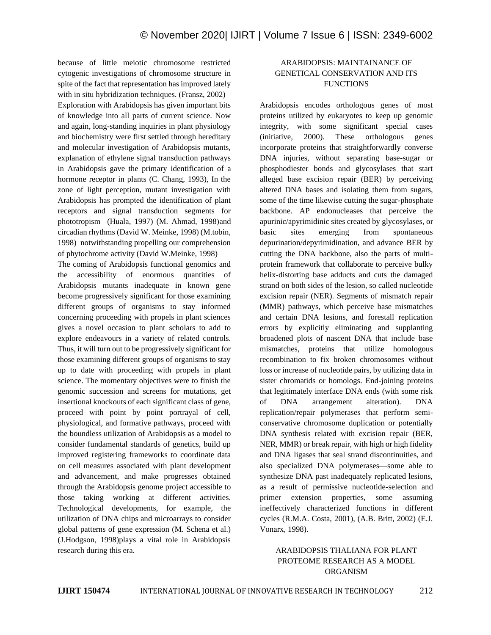because of little meiotic chromosome restricted cytogenic investigations of chromosome structure in spite of the fact that representation has improved lately with in situ hybridization techniques. (Fransz, 2002) Exploration with Arabidopsis has given important bits of knowledge into all parts of current science. Now and again, long-standing inquiries in plant physiology and biochemistry were first settled through hereditary and molecular investigation of Arabidopsis mutants, explanation of ethylene signal transduction pathways in Arabidopsis gave the primary identification of a hormone receptor in plants (C. Chang, 1993), In the zone of light perception, mutant investigation with Arabidopsis has prompted the identification of plant receptors and signal transduction segments for phototropism (Huala, 1997) (M. Ahmad, 1998)and circadian rhythms (David W. Meinke, 1998) (M.tobin, 1998) notwithstanding propelling our comprehension of phytochrome activity (David W.Meinke, 1998)

The coming of Arabidopsis functional genomics and the accessibility of enormous quantities of Arabidopsis mutants inadequate in known gene become progressively significant for those examining different groups of organisms to stay informed concerning proceeding with propels in plant sciences gives a novel occasion to plant scholars to add to explore endeavours in a variety of related controls. Thus, it will turn out to be progressively significant for those examining different groups of organisms to stay up to date with proceeding with propels in plant science. The momentary objectives were to finish the genomic succession and screens for mutations, get insertional knockouts of each significant class of gene, proceed with point by point portrayal of cell, physiological, and formative pathways, proceed with the boundless utilization of Arabidopsis as a model to consider fundamental standards of genetics, build up improved registering frameworks to coordinate data on cell measures associated with plant development and advancement, and make progresses obtained through the Arabidopsis genome project accessible to those taking working at different activities. Technological developments, for example, the utilization of DNA chips and microarrays to consider global patterns of gene expression (M. Schena et al.) (J.Hodgson, 1998)plays a vital role in Arabidopsis research during this era.

# ARABIDOPSIS: MAINTAINANCE OF GENETICAL CONSERVATION AND ITS **FUNCTIONS**

Arabidopsis encodes orthologous genes of most proteins utilized by eukaryotes to keep up genomic integrity, with some significant special cases (initiative, 2000). These orthologous genes incorporate proteins that straightforwardly converse DNA injuries, without separating base-sugar or phosphodiester bonds and glycosylases that start alleged base excision repair (BER) by perceiving altered DNA bases and isolating them from sugars, some of the time likewise cutting the sugar-phosphate backbone. AP endonucleases that perceive the apurinic/apyrimidinic sites created by glycosylases, or basic sites emerging from spontaneous depurination/depyrimidination, and advance BER by cutting the DNA backbone, also the parts of multiprotein framework that collaborate to perceive bulky helix-distorting base adducts and cuts the damaged strand on both sides of the lesion, so called nucleotide excision repair (NER). Segments of mismatch repair (MMR) pathways, which perceive base mismatches and certain DNA lesions, and forestall replication errors by explicitly eliminating and supplanting broadened plots of nascent DNA that include base mismatches, proteins that utilize homologous recombination to fix broken chromosomes without loss or increase of nucleotide pairs, by utilizing data in sister chromatids or homologs. End-joining proteins that legitimately interface DNA ends (with some risk of DNA arrangement alteration). DNA replication/repair polymerases that perform semiconservative chromosome duplication or potentially DNA synthesis related with excision repair (BER, NER, MMR) or break repair, with high or high fidelity and DNA ligases that seal strand discontinuities, and also specialized DNA polymerases—some able to synthesize DNA past inadequately replicated lesions, as a result of permissive nucleotide-selection and primer extension properties, some assuming ineffectively characterized functions in different cycles (R.M.A. Costa, 2001), (A.B. Britt, 2002) (E.J. Vonarx, 1998).

## ARABIDOPSIS THALIANA FOR PLANT PROTEOME RESEARCH AS A MODEL ORGANISM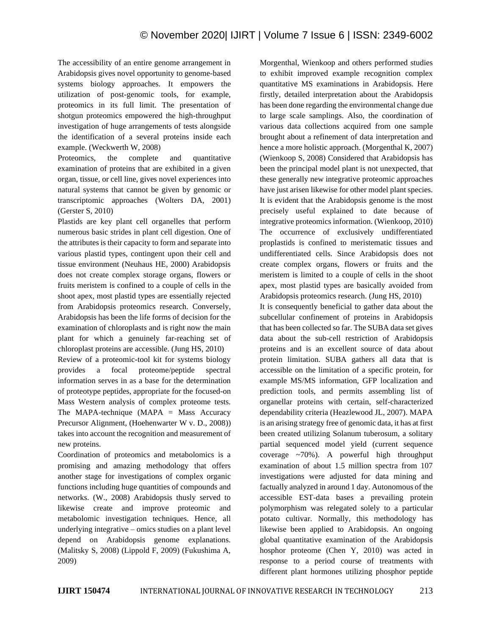The accessibility of an entire genome arrangement in Arabidopsis gives novel opportunity to genome-based systems biology approaches. It empowers the utilization of post-genomic tools, for example, proteomics in its full limit. The presentation of shotgun proteomics empowered the high-throughput investigation of huge arrangements of tests alongside the identification of a several proteins inside each example. (Weckwerth W, 2008)

Proteomics, the complete and quantitative examination of proteins that are exhibited in a given organ, tissue, or cell line, gives novel experiences into natural systems that cannot be given by genomic or transcriptomic approaches (Wolters DA, 2001) (Gerster S, 2010)

Plastids are key plant cell organelles that perform numerous basic strides in plant cell digestion. One of the attributes is their capacity to form and separate into various plastid types, contingent upon their cell and tissue environment (Neuhaus HE, 2000) Arabidopsis does not create complex storage organs, flowers or fruits meristem is confined to a couple of cells in the shoot apex, most plastid types are essentially rejected from Arabidopsis proteomics research. Conversely, Arabidopsis has been the life forms of decision for the examination of chloroplasts and is right now the main plant for which a genuinely far-reaching set of chloroplast proteins are accessible. (Jung HS, 2010)

Review of a proteomic-tool kit for systems biology provides a focal proteome/peptide spectral information serves in as a base for the determination of proteotype peptides, appropriate for the focused-on Mass Western analysis of complex proteome tests. The MAPA-technique (MAPA  $=$  Mass Accuracy Precursor Alignment, (Hoehenwarter W v. D., 2008)) takes into account the recognition and measurement of new proteins.

Coordination of proteomics and metabolomics is a promising and amazing methodology that offers another stage for investigations of complex organic functions including huge quantities of compounds and networks. (W., 2008) Arabidopsis thusly served to likewise create and improve proteomic and metabolomic investigation techniques. Hence, all underlying integrative – omics studies on a plant level depend on Arabidopsis genome explanations. (Malitsky S, 2008) (Lippold F, 2009) (Fukushima A, 2009)

Morgenthal, Wienkoop and others performed studies to exhibit improved example recognition complex quantitative MS examinations in Arabidopsis. Here firstly, detailed interpretation about the Arabidopsis has been done regarding the environmental change due to large scale samplings. Also, the coordination of various data collections acquired from one sample brought about a refinement of data interpretation and hence a more holistic approach. (Morgenthal K, 2007) (Wienkoop S, 2008) Considered that Arabidopsis has been the principal model plant is not unexpected, that these generally new integrative proteomic approaches have just arisen likewise for other model plant species. It is evident that the Arabidopsis genome is the most precisely useful explained to date because of integrative proteomics information. (Wienkoop, 2010) The occurrence of exclusively undifferentiated proplastids is confined to meristematic tissues and undifferentiated cells. Since Arabidopsis does not create complex organs, flowers or fruits and the meristem is limited to a couple of cells in the shoot apex, most plastid types are basically avoided from Arabidopsis proteomics research. (Jung HS, 2010) It is consequently beneficial to gather data about the

subcellular confinement of proteins in Arabidopsis that has been collected so far. The SUBA data set gives data about the sub-cell restriction of Arabidopsis proteins and is an excellent source of data about protein limitation. SUBA gathers all data that is accessible on the limitation of a specific protein, for example MS/MS information, GFP localization and prediction tools, and permits assembling list of organellar proteins with certain, self-characterized dependability criteria (Heazlewood JL, 2007). MAPA is an arising strategy free of genomic data, it has at first been created utilizing Solanum tuberosum, a solitary partial sequenced model yield (current sequence coverage  $\approx 70\%$ ). A powerful high throughput examination of about 1.5 million spectra from 107 investigations were adjusted for data mining and factually analyzed in around 1 day. Autonomous of the accessible EST-data bases a prevailing protein polymorphism was relegated solely to a particular potato cultivar. Normally, this methodology has likewise been applied to Arabidopsis. An ongoing global quantitative examination of the Arabidopsis hosphor proteome (Chen Y, 2010) was acted in response to a period course of treatments with different plant hormones utilizing phosphor peptide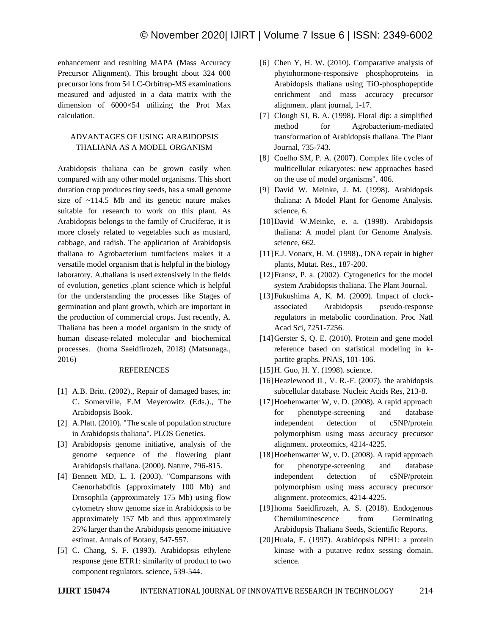enhancement and resulting MAPA (Mass Accuracy Precursor Alignment). This brought about 324 000 precursor ions from 54 LC-Orbitrap-MS examinations measured and adjusted in a data matrix with the dimension of 6000×54 utilizing the Prot Max calculation.

## ADVANTAGES OF USING ARABIDOPSIS THALIANA AS A MODEL ORGANISM

Arabidopsis thaliana can be grown easily when compared with any other model organisms. This short duration crop produces tiny seeds, has a small genome size of ~114.5 Mb and its genetic nature makes suitable for research to work on this plant. As Arabidopsis belongs to the family of Cruciferae, it is more closely related to vegetables such as mustard, cabbage, and radish. The application of Arabidopsis thaliana to Agrobacterium tumifaciens makes it a versatile model organism that is helpful in the biology laboratory. A.thaliana is used extensively in the fields of evolution, genetics ,plant science which is helpful for the understanding the processes like Stages of germination and plant growth, which are important in the production of commercial crops. Just recently, A. Thaliana has been a model organism in the study of human disease-related molecular and biochemical processes. (homa Saeidfirozeh, 2018) (Matsunaga., 2016)

## REFERENCES

- [1] A.B. Britt. (2002)., Repair of damaged bases, in: C. Somerville, E.M Meyerowitz (Eds.)., The Arabidopsis Book.
- [2] A.Platt. (2010). "The scale of population structure in Arabidopsis thaliana". PLOS Genetics.
- [3] Arabidopsis genome initiative, analysis of the genome sequence of the flowering plant Arabidopsis thaliana. (2000). Nature, 796-815.
- [4] Bennett MD, L. I. (2003). "Comparisons with Caenorhabditis (approximately 100 Mb) and Drosophila (approximately 175 Mb) using flow cytometry show genome size in Arabidopsis to be approximately 157 Mb and thus approximately 25% larger than the Arabidopsis genome initiative estimat. Annals of Botany, 547-557.
- [5] C. Chang, S. F. (1993). Arabidopsis ethylene response gene ETR1: similarity of product to two component regulators. science, 539-544.
- [6] Chen Y, H. W. (2010). Comparative analysis of phytohormone-responsive phosphoproteins in Arabidopsis thaliana using TiO-phosphopeptide enrichment and mass accuracy precursor alignment. plant journal, 1-17.
- [7] Clough SJ, B. A. (1998). Floral dip: a simplified method for Agrobacterium-mediated transformation of Arabidopsis thaliana. The Plant Journal, 735-743.
- [8] Coelho SM, P. A. (2007). Complex life cycles of multicellular eukaryotes: new approaches based on the use of model organisms". 406.
- [9] David W. Meinke, J. M. (1998). Arabidopsis thaliana: A Model Plant for Genome Analysis. science, 6.
- [10]David W.Meinke, e. a. (1998). Arabidopsis thaliana: A model plant for Genome Analysis. science, 662.
- [11] E.J. Vonarx, H. M. (1998)., DNA repair in higher plants, Mutat. Res., 187-200.
- [12] Fransz, P. a. (2002). Cytogenetics for the model system Arabidopsis thaliana. The Plant Journal.
- [13] Fukushima A, K. M. (2009). Impact of clockassociated Arabidopsis pseudo-response regulators in metabolic coordination. Proc Natl Acad Sci, 7251-7256.
- [14] Gerster S, Q. E. (2010). Protein and gene model reference based on statistical modeling in kpartite graphs. PNAS, 101-106.
- [15] H. Guo, H. Y. (1998). science.
- [16] Heazlewood JL, V. R.-F. (2007). the arabidopsis subcellular database. Nucleic Acids Res, 213-8.
- [17] Hoehenwarter W, v. D. (2008). A rapid approach for phenotype-screening and database independent detection of cSNP/protein polymorphism using mass accuracy precursor alignment. proteomics, 4214-4225.
- [18] Hoehenwarter W, v. D. (2008). A rapid approach for phenotype-screening and database independent detection of cSNP/protein polymorphism using mass accuracy precursor alignment. proteomics, 4214-4225.
- [19] homa Saeidfirozeh, A. S. (2018). Endogenous Chemiluminescence from Germinating Arabidopsis Thaliana Seeds, Scientific Reports.
- [20]Huala, E. (1997). Arabidopsis NPH1: a protein kinase with a putative redox sessing domain. science.